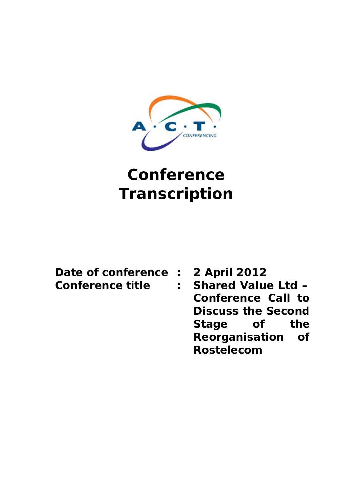

# **Conference Transcription**

| Date of conference |
|--------------------|
| Conference title   |

**2 April 2012 Conference title : Shared Value Ltd – Conference Call to Discuss the Second Stage of the Reorganisation of Rostelecom**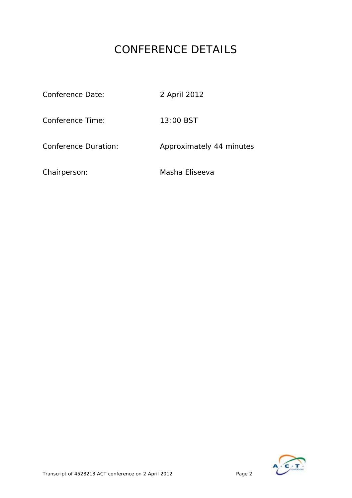# CONFERENCE DETAILS

| Conference Date:     | 2 April 2012             |
|----------------------|--------------------------|
| Conference Time:     | 13:00 BST                |
| Conference Duration: | Approximately 44 minutes |
| Chairperson:         | Masha Eliseeva           |

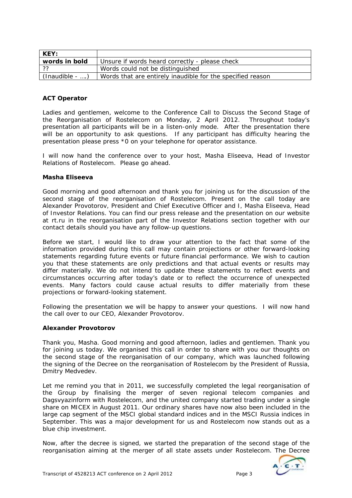| KEY:              |                                                            |  |
|-------------------|------------------------------------------------------------|--|
| words in bold     | Unsure if words heard correctly - please check             |  |
| ??                | Words could not be distinguished                           |  |
| $(Inaudible -  )$ | Words that are entirely inaudible for the specified reason |  |

# **ACT Operator**

Ladies and gentlemen, welcome to the Conference Call to Discuss the Second Stage of the Reorganisation of Rostelecom on Monday, 2 April 2012. Throughout today's presentation all participants will be in a listen-only mode. After the presentation there will be an opportunity to ask questions. If any participant has difficulty hearing the presentation please press \*0 on your telephone for operator assistance.

I will now hand the conference over to your host, Masha Eliseeva, Head of Investor Relations of Rostelecom. Please go ahead.

# **Masha Eliseeva**

Good morning and good afternoon and thank you for joining us for the discussion of the second stage of the reorganisation of Rostelecom. Present on the call today are Alexander Provotorov, President and Chief Executive Officer and I, Masha Eliseeva, Head of Investor Relations. You can find our press release and the presentation on our website at rt.ru in the reorganisation part of the Investor Relations section together with our contact details should you have any follow-up questions.

Before we start, I would like to draw your attention to the fact that some of the information provided during this call may contain projections or other forward-looking statements regarding future events or future financial performance. We wish to caution you that these statements are only predictions and that actual events or results may differ materially. We do not intend to update these statements to reflect events and circumstances occurring after today's date or to reflect the occurrence of unexpected events. Many factors could cause actual results to differ materially from these projections or forward-looking statement.

Following the presentation we will be happy to answer your questions. I will now hand the call over to our CEO, Alexander Provotorov.

# **Alexander Provotorov**

Thank you, Masha. Good morning and good afternoon, ladies and gentlemen. Thank you for joining us today. We organised this call in order to share with you our thoughts on the second stage of the reorganisation of our company, which was launched following the signing of the Decree on the reorganisation of Rostelecom by the President of Russia, Dmitry Medvedev.

Let me remind you that in 2011, we successfully completed the legal reorganisation of the Group by finalising the merger of seven regional telecom companies and Dagsvyazinform with Rostelecom, and the united company started trading under a single share on MICEX in August 2011. Our ordinary shares have now also been included in the large cap segment of the MSCI global standard indices and in the MSCI Russia indices in September. This was a major development for us and Rostelecom now stands out as a blue chip investment.

Now, after the decree is signed, we started the preparation of the second stage of the reorganisation aiming at the merger of all state assets under Rostelecom. The Decree

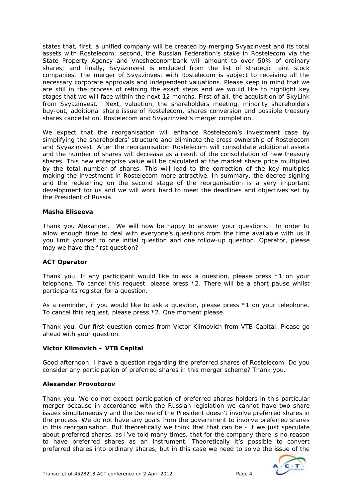states that, first, a unified company will be created by merging Svyazinvest and its total assets with Rostelecom; second, the Russian Federation's stake in Rostelecom via the State Property Agency and Vnesheconombank will amount to over 50% of ordinary shares; and finally, Svyazinvest is excluded from the list of strategic joint stock companies. The merger of Svyazinvest with Rostelecom is subject to receiving all the necessary corporate approvals and independent valuations. Please keep in mind that we are still in the process of refining the exact steps and we would like to highlight key stages that we will face within the next 12 months. First of all, the acquisition of SkyLink from Svyazinvest. Next, valuation, the shareholders meeting, minority shareholders buy-out, additional share issue of Rostelecom, shares conversion and possible treasury shares cancellation, Rostelecom and Svyazinvest's merger completion.

We expect that the reorganisation will enhance Rostelecom's investment case by simplifying the shareholders' structure and eliminate the cross ownership of Rostelecom and Svyazinvest. After the reorganisation Rostelecom will consolidate additional assets and the number of shares will decrease as a result of the consolidation of new treasury shares. This new enterprise value will be calculated at the market share price multiplied by the total number of shares. This will lead to the correction of the key multiples making the investment in Rostelecom more attractive. In summary, the decree signing and the redeeming on the second stage of the reorganisation is a very important development for us and we will work hard to meet the deadlines and objectives set by the President of Russia.

# **Masha Eliseeva**

Thank you Alexander. We will now be happy to answer your questions. In order to allow enough time to deal with everyone's questions from the time available with us if you limit yourself to one initial question and one follow-up question. Operator, please may we have the first question?

# **ACT Operator**

Thank you. If any participant would like to ask a question, please press \*1 on your telephone. To cancel this request, please press \*2. There will be a short pause whilst participants register for a question.

As a reminder, if you would like to ask a question, please press \*1 on your telephone. To cancel this request, please press \*2. One moment please.

Thank you. Our first question comes from Victor Klimovich from VTB Capital. Please go ahead with your question.

# **Victor Klimovich – VTB Capital**

Good afternoon. I have a question regarding the preferred shares of Rostelecom. Do you consider any participation of preferred shares in this merger scheme? Thank you.

#### **Alexander Provotorov**

Thank you. We do not expect participation of preferred shares holders in this particular merger because in accordance with the Russian legislation we cannot have two share issues simultaneously and the Decree of the President doesn't involve preferred shares in the process. We do not have any goals from the government to involve preferred shares in this reorganisation. But theoretically we think that that can be - if we just speculate about preferred shares, as I've told many times, that for the company there is no reason to have preferred shares as an instrument. Theoretically it's possible to convert preferred shares into ordinary shares, but in this case we need to solve the issue of the

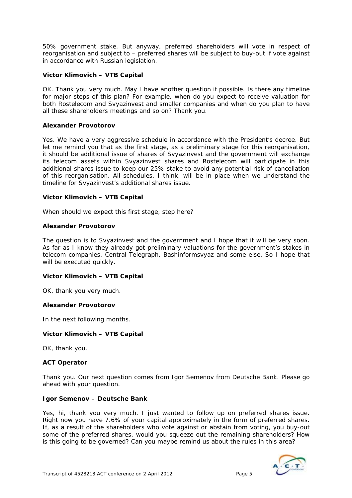50% government stake. But anyway, preferred shareholders will vote in respect of reorganisation and subject to – preferred shares will be subject to buy-out if vote against in accordance with Russian legislation.

# **Victor Klimovich – VTB Capital**

OK. Thank you very much. May I have another question if possible. Is there any timeline for major steps of this plan? For example, when do you expect to receive valuation for both Rostelecom and Svyazinvest and smaller companies and when do you plan to have all these shareholders meetings and so on? Thank you.

# **Alexander Provotorov**

Yes. We have a very aggressive schedule in accordance with the President's decree. But let me remind you that as the first stage, as a preliminary stage for this reorganisation, it should be additional issue of shares of Svyazinvest and the government will exchange its telecom assets within Svyazinvest shares and Rostelecom will participate in this additional shares issue to keep our 25% stake to avoid any potential risk of cancellation of this reorganisation. All schedules, I think, will be in place when we understand the timeline for Svyazinvest's additional shares issue.

# **Victor Klimovich – VTB Capital**

When should we expect this first stage, step here?

# **Alexander Provotorov**

The question is to Svyazinvest and the government and I hope that it will be very soon. As far as I know they already got preliminary valuations for the government's stakes in telecom companies, Central Telegraph, Bashinformsvyaz and some else. So I hope that will be executed quickly.

# **Victor Klimovich – VTB Capital**

OK, thank you very much.

# **Alexander Provotorov**

In the next following months.

# **Victor Klimovich – VTB Capital**

OK, thank you.

# **ACT Operator**

Thank you. Our next question comes from Igor Semenov from Deutsche Bank. Please go ahead with your question.

# **Igor Semenov – Deutsche Bank**

Yes, hi, thank you very much. I just wanted to follow up on preferred shares issue. Right now you have 7.6% of your capital approximately in the form of preferred shares. If, as a result of the shareholders who vote against or abstain from voting, you buy-out some of the preferred shares, would you squeeze out the remaining shareholders? How is this going to be governed? Can you maybe remind us about the rules in this area?

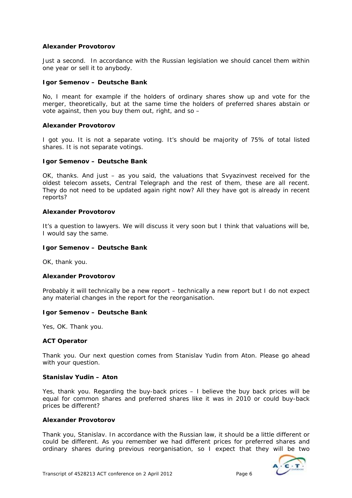# **Alexander Provotorov**

Just a second. In accordance with the Russian legislation we should cancel them within one year or sell it to anybody.

# **Igor Semenov – Deutsche Bank**

No, I meant for example if the holders of ordinary shares show up and vote for the merger, theoretically, but at the same time the holders of preferred shares abstain or vote against, then you buy them out, right, and so –

#### **Alexander Provotorov**

I got you. It is not a separate voting. It's should be majority of 75% of total listed shares. It is not separate votings.

#### **Igor Semenov – Deutsche Bank**

OK, thanks. And just – as you said, the valuations that Svyazinvest received for the oldest telecom assets, Central Telegraph and the rest of them, these are all recent. They do not need to be updated again right now? All they have got is already in recent reports?

#### **Alexander Provotorov**

It's a question to lawyers. We will discuss it very soon but I think that valuations will be, I would say the same.

#### **Igor Semenov – Deutsche Bank**

OK, thank you.

#### **Alexander Provotorov**

Probably it will technically be a new report – technically a new report but I do not expect any material changes in the report for the reorganisation.

#### **Igor Semenov – Deutsche Bank**

Yes, OK. Thank you.

# **ACT Operator**

Thank you. Our next question comes from Stanislav Yudin from Aton. Please go ahead with your question.

#### **Stanislav Yudin – Aton**

Yes, thank you. Regarding the buy-back prices – I believe the buy back prices will be equal for common shares and preferred shares like it was in 2010 or could buy-back prices be different?

#### **Alexander Provotorov**

Thank you, Stanislav. In accordance with the Russian law, it should be a little different or could be different. As you remember we had different prices for preferred shares and ordinary shares during previous reorganisation, so I expect that they will be two

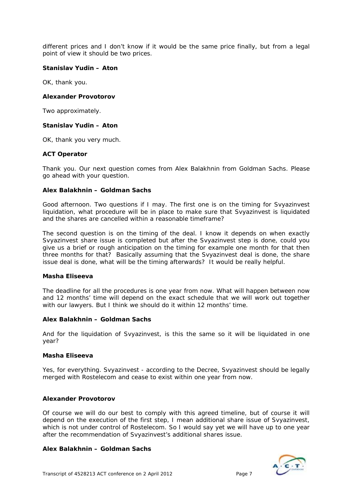different prices and I don't know if it would be the same price finally, but from a legal point of view it should be two prices.

#### **Stanislav Yudin – Aton**

OK, thank you.

#### **Alexander Provotorov**

Two approximately.

#### **Stanislav Yudin – Aton**

OK, thank you very much.

#### **ACT Operator**

Thank you. Our next question comes from Alex Balakhnin from Goldman Sachs. Please go ahead with your question.

#### **Alex Balakhnin – Goldman Sachs**

Good afternoon. Two questions if I may. The first one is on the timing for Svyazinvest liquidation, what procedure will be in place to make sure that Svyazinvest is liquidated and the shares are cancelled within a reasonable timeframe?

The second question is on the timing of the deal. I know it depends on when exactly Svyazinvest share issue is completed but after the Svyazinvest step is done, could you give us a brief or rough anticipation on the timing for example one month for that then three months for that? Basically assuming that the Svyazinvest deal is done, the share issue deal is done, what will be the timing afterwards? It would be really helpful.

#### **Masha Eliseeva**

The deadline for all the procedures is one year from now. What will happen between now and 12 months' time will depend on the exact schedule that we will work out together with our lawyers. But I think we should do it within 12 months' time.

#### **Alex Balakhnin – Goldman Sachs**

And for the liquidation of Svyazinvest, is this the same so it will be liquidated in one year?

#### **Masha Eliseeva**

Yes, for everything. Svyazinvest - according to the Decree, Svyazinvest should be legally merged with Rostelecom and cease to exist within one year from now.

#### **Alexander Provotorov**

Of course we will do our best to comply with this agreed timeline, but of course it will depend on the execution of the first step, I mean additional share issue of Svyazinvest, which is not under control of Rostelecom. So I would say yet we will have up to one year after the recommendation of Svyazinvest's additional shares issue.

# **Alex Balakhnin – Goldman Sachs**

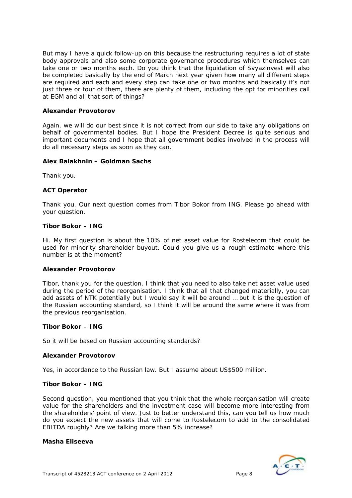But may I have a quick follow-up on this because the restructuring requires a lot of state body approvals and also some corporate governance procedures which themselves can take one or two months each. Do you think that the liquidation of Svyazinvest will also be completed basically by the end of March next year given how many all different steps are required and each and every step can take one or two months and basically it's not just three or four of them, there are plenty of them, including the opt for minorities call at EGM and all that sort of things?

#### **Alexander Provotorov**

Again, we will do our best since it is not correct from our side to take any obligations on behalf of governmental bodies. But I hope the President Decree is quite serious and important documents and I hope that all government bodies involved in the process will do all necessary steps as soon as they can.

#### **Alex Balakhnin – Goldman Sachs**

Thank you.

# **ACT Operator**

Thank you. Our next question comes from Tibor Bokor from ING. Please go ahead with your question.

#### **Tibor Bokor – ING**

Hi. My first question is about the 10% of net asset value for Rostelecom that could be used for minority shareholder buyout. Could you give us a rough estimate where this number is at the moment?

#### **Alexander Provotorov**

Tibor, thank you for the question. I think that you need to also take net asset value used during the period of the reorganisation. I think that all that changed materially, you can add assets of NTK potentially but I would say it will be around … but it is the question of the Russian accounting standard, so I think it will be around the same where it was from the previous reorganisation.

#### **Tibor Bokor – ING**

So it will be based on Russian accounting standards?

#### **Alexander Provotorov**

Yes, in accordance to the Russian law. But I assume about US\$500 million.

#### **Tibor Bokor – ING**

Second question, you mentioned that you think that the whole reorganisation will create value for the shareholders and the investment case will become more interesting from the shareholders' point of view. Just to better understand this, can you tell us how much do you expect the new assets that will come to Rostelecom to add to the consolidated EBITDA roughly? Are we talking more than 5% increase?

#### **Masha Eliseeva**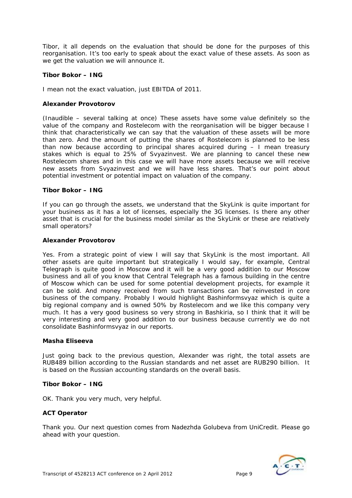Tibor, it all depends on the evaluation that should be done for the purposes of this reorganisation. It's too early to speak about the exact value of these assets. As soon as we get the valuation we will announce it.

# **Tibor Bokor – ING**

I mean not the exact valuation, just EBITDA of 2011.

# **Alexander Provotorov**

(*Inaudible – several talking at once)* These assets have some value definitely so the value of the company and Rostelecom with the reorganisation will be bigger because I think that characteristically we can say that the valuation of these assets will be more than zero. And the amount of putting the shares of Rostelecom is planned to be less than now because according to principal shares acquired during – I mean treasury stakes which is equal to 25% of Svyazinvest. We are planning to cancel these new Rostelecom shares and in this case we will have more assets because we will receive new assets from Svyazinvest and we will have less shares. That's our point about potential investment or potential impact on valuation of the company.

# **Tibor Bokor – ING**

If you can go through the assets, we understand that the SkyLink is quite important for your business as it has a lot of licenses, especially the 3G licenses. Is there any other asset that is crucial for the business model similar as the SkyLink or these are relatively small operators?

# **Alexander Provotorov**

Yes. From a strategic point of view I will say that SkyLink is the most important. All other assets are quite important but strategically I would say, for example, Central Telegraph is quite good in Moscow and it will be a very good addition to our Moscow business and all of you know that Central Telegraph has a famous building in the centre of Moscow which can be used for some potential development projects, for example it can be sold. And money received from such transactions can be reinvested in core business of the company. Probably I would highlight Bashinformsvyaz which is quite a big regional company and is owned 50% by Rostelecom and we like this company very much. It has a very good business so very strong in Bashkiria, so I think that it will be very interesting and very good addition to our business because currently we do not consolidate Bashinformsvyaz in our reports.

# **Masha Eliseeva**

Just going back to the previous question, Alexander was right, the total assets are RUB489 billion according to the Russian standards and net asset are RUB290 billion. It is based on the Russian accounting standards on the overall basis.

# **Tibor Bokor – ING**

OK. Thank you very much, very helpful.

# **ACT Operator**

Thank you. Our next question comes from Nadezhda Golubeva from UniCredit. Please go ahead with your question.

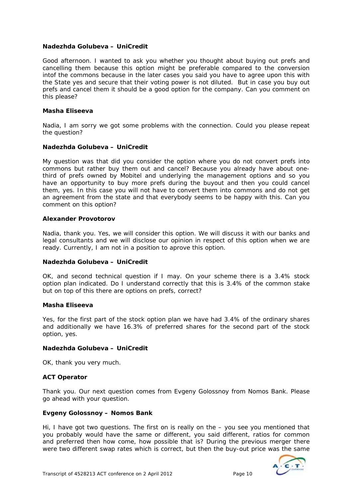# **Nadezhda Golubeva – UniCredit**

Good afternoon. I wanted to ask you whether you thought about buying out prefs and cancelling them because this option might be preferable compared to the conversion intof the commons because in the later cases you said you have to agree upon this with the State yes and secure that their voting power is not diluted. But in case you buy out prefs and cancel them it should be a good option for the company. Can you comment on this please?

#### **Masha Eliseeva**

Nadia, I am sorry we got some problems with the connection. Could you please repeat the question?

#### **Nadezhda Golubeva – UniCredit**

My question was that did you consider the option where you do not convert prefs into commons but rather buy them out and cancel? Because you already have about onethird of prefs owned by Mobitel and underlying the management options and so you have an opportunity to buy more prefs during the buyout and then you could cancel them, yes. In this case you will not have to convert them into commons and do not get an agreement from the state and that everybody seems to be happy with this. Can you comment on this option?

#### **Alexander Provotorov**

Nadia, thank you. Yes, we will consider this option. We will discuss it with our banks and legal consultants and we will disclose our opinion in respect of this option when we are ready. *C*urrently, I am not in a position to aprove this option.

# **Nadezhda Golubeva – UniCredit**

OK, and second technical question if I may. On your scheme there is a 3.4% stock option plan indicated. Do I understand correctly that this is 3.4% of the common stake but on top of this there are options on prefs, correct?

# **Masha Eliseeva**

Yes, for the first part of the stock option plan we have had 3.4% of the ordinary shares and additionally we have 16.3% of preferred shares for the second part of the stock option, yes.

# **Nadezhda Golubeva – UniCredit**

OK, thank you very much.

# **ACT Operator**

Thank you. Our next question comes from Evgeny Golossnoy from Nomos Bank. Please go ahead with your question.

#### **Evgeny Golossnoy – Nomos Bank**

Hi, I have got two questions. The first on is really on the – you see you mentioned that you probably would have the same or different, you said different, ratios for common and preferred then how come, how possible that is? During the previous merger there were two different swap rates which is correct, but then the buy-out price was the same

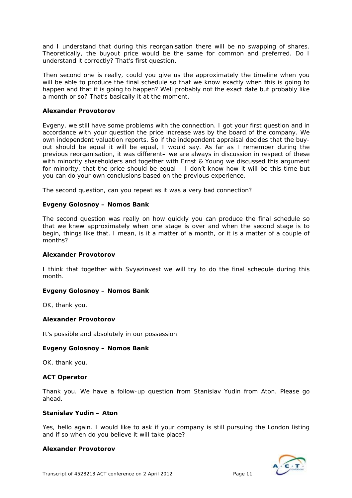and I understand that during this reorganisation there will be no swapping of shares. Theoretically, the buyout price would be the same for common and preferred. Do I understand it correctly? That's first question.

Then second one is really, could you give us the approximately the timeline when you will be able to produce the final schedule so that we know exactly when this is going to happen and that it is going to happen? Well probably not the exact date but probably like a month or so? That's basically it at the moment.

# **Alexander Provotorov**

Evgeny, we still have some problems with the connection. I got your first question and in accordance with your question the price increase was by the board of the company. We own independent valuation reports. So if the independent appraisal decides that the buyout should be equal it will be equal, I would say. As far as I remember during the previous reorganisation, it was different**–** we are always in discussion in respect of these with minority shareholders and together with Ernst & Young we discussed this argument for minority, that the price should be equal – I don't know how it will be this time but you can do your own conclusions based on the previous experience.

The second question, can you repeat as it was a very bad connection?

# **Evgeny Golosnoy – Nomos Bank**

The second question was really on how quickly you can produce the final schedule so that we knew approximately when one stage is over and when the second stage is to begin, things like that. I mean, is it a matter of a month, or it is a matter of a couple of months?

# **Alexander Provotorov**

I think that together with Svyazinvest we will try to do the final schedule during this month.

# **Evgeny Golosnoy – Nomos Bank**

OK, thank you.

# **Alexander Provotorov**

It's possible and absolutely in our possession.

# **Evgeny Golosnoy – Nomos Bank**

OK, thank you.

# **ACT Operator**

Thank you. We have a follow-up question from Stanislav Yudin from Aton. Please go ahead.

# **Stanislav Yudin – Aton**

Yes, hello again. I would like to ask if your company is still pursuing the London listing and if so when do you believe it will take place?

# **Alexander Provotorov**

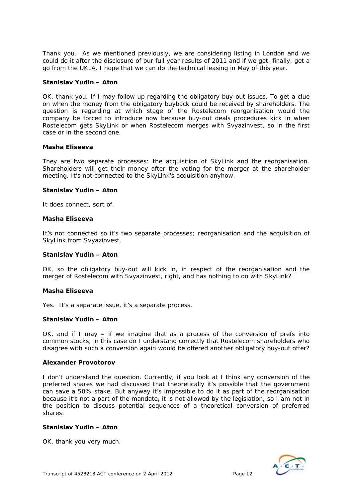Thank you. As we mentioned previously, we are considering listing in London and we could do it after the disclosure of our full year results of 2011 and if we get, finally, get a go from the UKLA. I hope that we can do the technical leasing in May of this year.

#### **Stanislav Yudin – Aton**

OK, thank you. If I may follow up regarding the obligatory buy-out issues. To get a clue on when the money from the obligatory buyback could be received by shareholders. The question is regarding at which stage of the Rostelecom reorganisation would the company be forced to introduce now because buy-out deals procedures kick in when Rostelecom gets SkyLink or when Rostelecom merges with Svyazinvest, so in the first case or in the second one.

#### **Masha Eliseeva**

They are two separate processes: the acquisition of SkyLink and the reorganisation. Shareholders will get their money after the voting for the merger at the shareholder meeting. It's not connected to the SkyLink's acquisition anyhow.

#### **Stanislav Yudin – Aton**

It does connect, sort of.

#### **Masha Eliseeva**

It's not connected so it's two separate processes; reorganisation and the acquisition of SkyLink from Svyazinvest.

# **Stanislav Yudin – Aton**

OK, so the obligatory buy-out will kick in, in respect of the reorganisation and the merger of Rostelecom with Svyazinvest, right, and has nothing to do with SkyLink?

#### **Masha Eliseeva**

Yes. It's a separate issue, it's a separate process.

# **Stanislav Yudin – Aton**

OK, and if I may – if we imagine that as a process of the conversion of prefs into common stocks, in this case do I understand correctly that Rostelecom shareholders who disagree with such a conversion again would be offered another obligatory buy-out offer?

# **Alexander Provotorov**

I don't understand the question. Currently, if you look at I think any conversion of the preferred shares we had discussed that theoretically it's possible that the government can save a 50% stake. But anyway it's impossible to do it as part of the reorganisation because it's not a part of the mandate**,** it is not allowed by the legislation, so I am not in the position to discuss potential sequences of a theoretical conversion of preferred shares.

# **Stanislav Yudin – Aton**

OK, thank you very much.

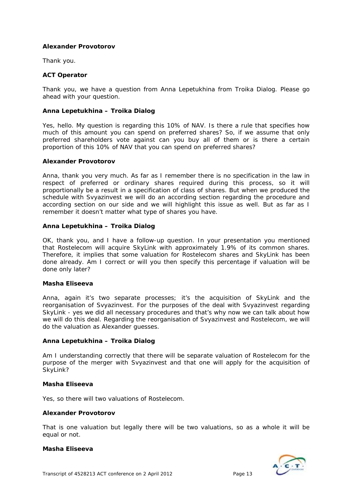# **Alexander Provotorov**

Thank you.

#### **ACT Operator**

Thank you, we have a question from Anna Lepetukhina from Troika Dialog. Please go ahead with your question.

# **Anna Lepetukhina – Troika Dialog**

Yes, hello. My question is regarding this 10% of NAV. Is there a rule that specifies how much of this amount you can spend on preferred shares? So, if we assume that only preferred shareholders vote against can you buy all of them or is there a certain proportion of this 10% of NAV that you can spend on preferred shares?

#### **Alexander Provotorov**

Anna, thank you very much. As far as I remember there is no specification in the law in respect of preferred or ordinary shares required during this process, so it will proportionally be a result in a specification of class of shares. But when we produced the schedule with Svyazinvest we will do an according section regarding the procedure and according section on our side and we will highlight this issue as well. But as far as I remember it doesn't matter what type of shares you have.

#### **Anna Lepetukhina – Troika Dialog**

OK, thank you, and I have a follow-up question. In your presentation you mentioned that Rostelecom will acquire SkyLink with approximately 1.9% of its common shares. Therefore, it implies that some valuation for Rostelecom shares and SkyLink has been done already. Am I correct or will you then specify this percentage if valuation will be done only later?

#### **Masha Eliseeva**

Anna, again it's two separate processes; it's the acquisition of SkyLink and the reorganisation of Svyazinvest. For the purposes of the deal with Svyazinvest regarding SkyLink - yes we did all necessary procedures and that's why now we can talk about how we will do this deal. Regarding the reorganisation of Svyazinvest and Rostelecom, we will do the valuation as Alexander guesses.

# **Anna Lepetukhina – Troika Dialog**

Am I understanding correctly that there will be separate valuation of Rostelecom for the purpose of the merger with Svyazinvest and that one will apply for the acquisition of SkyLink?

#### **Masha Eliseeva**

Yes, so there will two valuations of Rostelecom.

#### **Alexander Provotorov**

That is one valuation but legally there will be two valuations, so as a whole it will be equal or not.

#### **Masha Eliseeva**

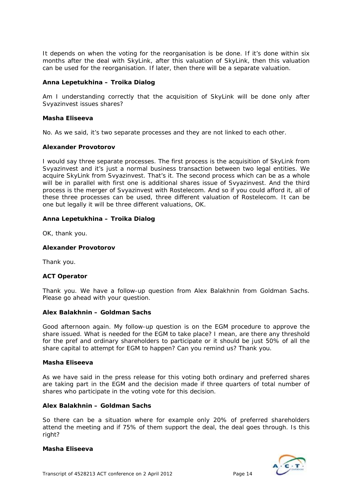It depends on when the voting for the reorganisation is be done. If it's done within six months after the deal with SkyLink, after this valuation of SkyLink, then this valuation can be used for the reorganisation. If later, then there will be a separate valuation.

# **Anna Lepetukhina – Troika Dialog**

Am I understanding correctly that the acquisition of SkyLink will be done only after Svyazinvest issues shares?

# **Masha Eliseeva**

No. As we said, it's two separate processes and they are not linked to each other.

# **Alexander Provotorov**

I would say three separate processes. The first process is the acquisition of SkyLink from Svyazinvest and it's just a normal business transaction between two legal entities. We acquire SkyLink from Svyazinvest. That's it. The second process which can be as a whole will be in parallel with first one is additional shares issue of Svyazinvest. And the third process is the merger of Svyazinvest with Rostelecom. And so if you could afford it, all of these three processes can be used, three different valuation of Rostelecom. It can be one but legally it will be three different valuations, OK.

# **Anna Lepetukhina – Troika Dialog**

OK, thank you.

# **Alexander Provotorov**

Thank you.

# **ACT Operator**

Thank you. We have a follow-up question from Alex Balakhnin from Goldman Sachs. Please go ahead with your question.

# **Alex Balakhnin – Goldman Sachs**

Good afternoon again. My follow-up question is on the EGM procedure to approve the share issued. What is needed for the EGM to take place? I mean, are there any threshold for the pref and ordinary shareholders to participate or it should be just 50% of all the share capital to attempt for EGM to happen? Can you remind us? Thank you.

# **Masha Eliseeva**

As we have said in the press release for this voting both ordinary and preferred shares are taking part in the EGM and the decision made if three quarters of total number of shares who participate in the voting vote for this decision.

# **Alex Balakhnin – Goldman Sachs**

So there can be a situation where for example only 20% of preferred shareholders attend the meeting and if 75% of them support the deal, the deal goes through. Is this right?

# **Masha Eliseeva**

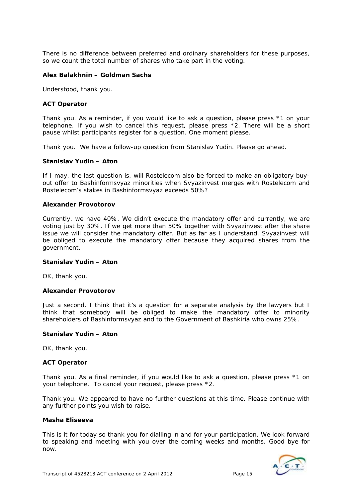There is no difference between preferred and ordinary shareholders for these purposes, so we count the total number of shares who take part in the voting.

#### **Alex Balakhnin – Goldman Sachs**

Understood, thank you.

#### **ACT Operator**

Thank you. As a reminder, if you would like to ask a question, please press \*1 on your telephone. If you wish to cancel this request, please press \*2. There will be a short pause whilst participants register for a question. One moment please.

Thank you. We have a follow-up question from Stanislav Yudin. Please go ahead.

#### **Stanislav Yudin – Aton**

If I may, the last question is, will Rostelecom also be forced to make an obligatory buyout offer to Bashinformsvyaz minorities when Svyazinvest merges with Rostelecom and Rostelecom's stakes in Bashinformsvyaz exceeds 50%?

#### **Alexander Provotorov**

Currently, we have 40%. We didn't execute the mandatory offer and currently, we are voting just by 30%. If we get more than 50% together with Svyazinvest after the share issue we will consider the mandatory offer. But as far as I understand, Svyazinvest will be obliged to execute the mandatory offer because they acquired shares from the government.

#### **Stanislav Yudin – Aton**

OK, thank you.

#### **Alexander Provotorov**

Just a second. I think that it's a question for a separate analysis by the lawyers but I think that somebody will be obliged to make the mandatory offer to minority shareholders of Bashinformsvyaz and to the Government of Bashkiria who owns 25%.

#### **Stanislav Yudin – Aton**

OK, thank you.

#### **ACT Operator**

Thank you. As a final reminder, if you would like to ask a question, please press \*1 on your telephone. To cancel your request, please press \*2.

Thank you. We appeared to have no further questions at this time. Please continue with any further points you wish to raise.

#### **Masha Eliseeva**

This is it for today so thank you for dialling in and for your participation. We look forward to speaking and meeting with you over the coming weeks and months. Good bye for now.